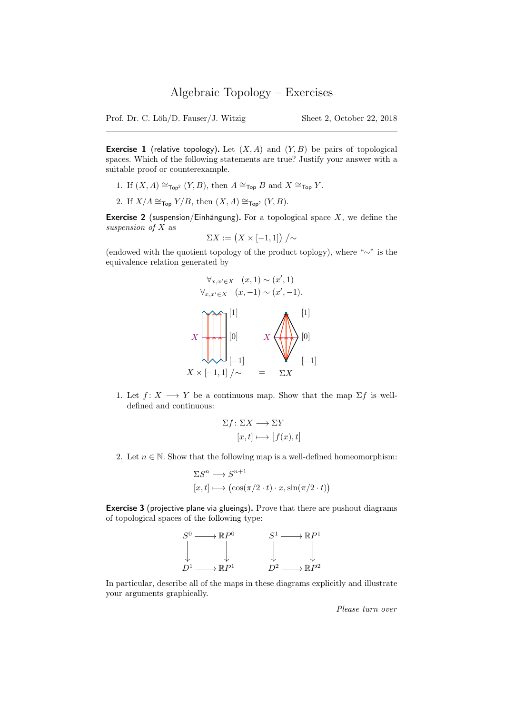**Exercise 1** (relative topology). Let  $(X, A)$  and  $(Y, B)$  be pairs of topological spaces. Which of the following statements are true? Justify your answer with a suitable proof or counterexample.

- 1. If  $(X, A) \cong_{\text{Top}^2} (Y, B)$ , then  $A \cong_{\text{Top}} B$  and  $X \cong_{\text{Top}} Y$ .
- 2. If  $X/A \cong_{\text{Top}} Y/B$ , then  $(X, A) \cong_{\text{Top}^2} (Y, B)$ .

**Exercise 2** (suspension/Einhängung). For a topological space  $X$ , we define the suspension of X as

$$
\Sigma X := \big(X \times [-1,1]\big) \big/ \sim
$$

(endowed with the quotient topology of the product toplogy), where "∼" is the equivalence relation generated by



1. Let  $f: X \longrightarrow Y$  be a continuous map. Show that the map  $\Sigma f$  is welldefined and continuous:

$$
\Sigma f \colon \Sigma X \longrightarrow \Sigma Y
$$

$$
[x, t] \longmapsto [f(x), t]
$$

2. Let  $n \in \mathbb{N}$ . Show that the following map is a well-defined homeomorphism:

$$
\Sigma S^n \longrightarrow S^{n+1}
$$
  
[ $x, t$ ]  $\longmapsto$   $(\cos(\pi/2 \cdot t) \cdot x, \sin(\pi/2 \cdot t))$ 

Exercise 3 (projective plane via glueings). Prove that there are pushout diagrams of topological spaces of the following type:



In particular, describe all of the maps in these diagrams explicitly and illustrate your arguments graphically.

Please turn over